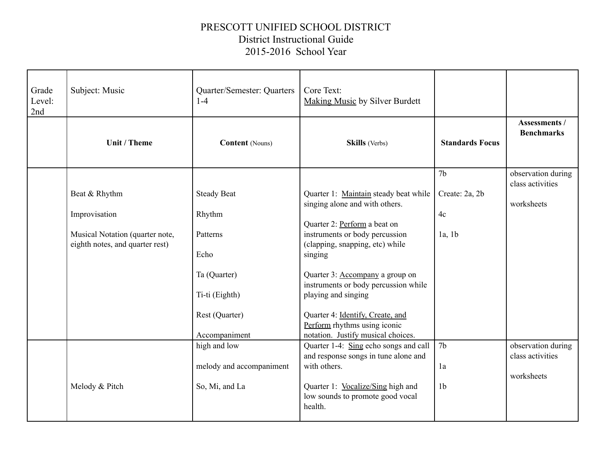## PRESCOTT UNIFIED SCHOOL DISTRICT District Instructional Guide 2015-2016 School Year

| Grade<br>Level:<br>2nd | Subject: Music                                                                      | Quarter/Semester: Quarters<br>$1-4$                                                             | Core Text:<br><b>Making Music by Silver Burdett</b>                                                                                                                                                                                                                                                                      |                                        |                                                      |
|------------------------|-------------------------------------------------------------------------------------|-------------------------------------------------------------------------------------------------|--------------------------------------------------------------------------------------------------------------------------------------------------------------------------------------------------------------------------------------------------------------------------------------------------------------------------|----------------------------------------|------------------------------------------------------|
|                        | Unit / Theme                                                                        | <b>Content</b> (Nouns)                                                                          | <b>Skills</b> (Verbs)                                                                                                                                                                                                                                                                                                    | <b>Standards Focus</b>                 | <b>Assessments /</b><br><b>Benchmarks</b>            |
|                        | Beat & Rhythm                                                                       | <b>Steady Beat</b>                                                                              | Quarter 1: Maintain steady beat while<br>singing alone and with others.                                                                                                                                                                                                                                                  | 7 <sub>b</sub><br>Create: 2a, 2b       | observation during<br>class activities<br>worksheets |
|                        | Improvisation<br>Musical Notation (quarter note,<br>eighth notes, and quarter rest) | Rhythm<br>Patterns<br>Echo<br>Ta (Quarter)<br>Ti-ti (Eighth)<br>Rest (Quarter)<br>Accompaniment | Quarter 2: Perform a beat on<br>instruments or body percussion<br>(clapping, snapping, etc) while<br>singing<br>Quarter 3: Accompany a group on<br>instruments or body percussion while<br>playing and singing<br>Quarter 4: Identify, Create, and<br>Perform rhythms using iconic<br>notation. Justify musical choices. | 4c<br>1a, 1b                           |                                                      |
|                        | Melody & Pitch                                                                      | high and low<br>melody and accompaniment<br>So, Mi, and La                                      | Quarter 1-4: Sing echo songs and call<br>and response songs in tune alone and<br>with others.<br>Quarter 1: Vocalize/Sing high and<br>low sounds to promote good vocal<br>health.                                                                                                                                        | 7 <sub>b</sub><br>1a<br>1 <sub>b</sub> | observation during<br>class activities<br>worksheets |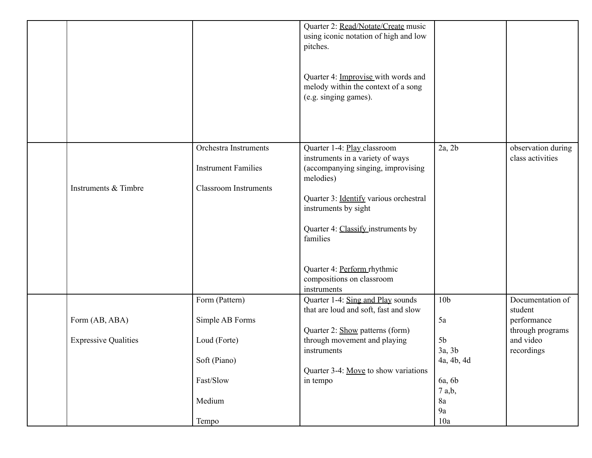|                                               |                                                                                                   | Quarter 2: Read/Notate/Create music<br>using iconic notation of high and low<br>pitches.<br>Quarter 4: Improvise with words and<br>melody within the context of a song<br>(e.g. singing games).                                                                                                                   |                                                                                                        |                                                                                           |
|-----------------------------------------------|---------------------------------------------------------------------------------------------------|-------------------------------------------------------------------------------------------------------------------------------------------------------------------------------------------------------------------------------------------------------------------------------------------------------------------|--------------------------------------------------------------------------------------------------------|-------------------------------------------------------------------------------------------|
| Instruments & Timbre                          | Orchestra Instruments<br><b>Instrument Families</b><br><b>Classroom Instruments</b>               | Quarter 1-4: Play classroom<br>instruments in a variety of ways<br>(accompanying singing, improvising<br>melodies)<br>Quarter 3: Identify various orchestral<br>instruments by sight<br>Quarter 4: Classify instruments by<br>families<br>Quarter 4: Perform rhythmic<br>compositions on classroom<br>instruments | 2a, 2b                                                                                                 | observation during<br>class activities                                                    |
| Form (AB, ABA)<br><b>Expressive Qualities</b> | Form (Pattern)<br>Simple AB Forms<br>Loud (Forte)<br>Soft (Piano)<br>Fast/Slow<br>Medium<br>Tempo | Quarter 1-4: Sing and Play sounds<br>that are loud and soft, fast and slow<br>Quarter 2: Show patterns (form)<br>through movement and playing<br>instruments<br>Quarter 3-4: Move to show variations<br>in tempo                                                                                                  | 10 <sub>b</sub><br>5a<br>5 <sub>b</sub><br>3a, 3b<br>4a, 4b, 4d<br>6a, 6b<br>7 a,b,<br>8a<br>9a<br>10a | Documentation of<br>student<br>performance<br>through programs<br>and video<br>recordings |